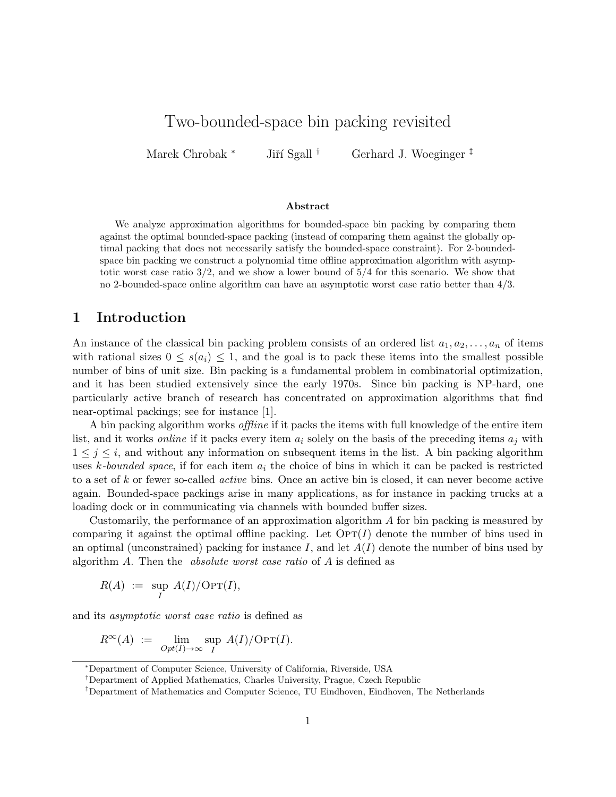# Two-bounded-space bin packing revisited

Marek Chrobak <sup>∗</sup> Jiří Sgall <sup>†</sup> Gerhard J. Woeginger <sup>‡</sup>

#### Abstract

We analyze approximation algorithms for bounded-space bin packing by comparing them against the optimal bounded-space packing (instead of comparing them against the globally optimal packing that does not necessarily satisfy the bounded-space constraint). For 2-boundedspace bin packing we construct a polynomial time offline approximation algorithm with asymptotic worst case ratio  $3/2$ , and we show a lower bound of  $5/4$  for this scenario. We show that no 2-bounded-space online algorithm can have an asymptotic worst case ratio better than 4/3.

### 1 Introduction

An instance of the classical bin packing problem consists of an ordered list  $a_1, a_2, \ldots, a_n$  of items with rational sizes  $0 \leq s(a_i) \leq 1$ , and the goal is to pack these items into the smallest possible number of bins of unit size. Bin packing is a fundamental problem in combinatorial optimization, and it has been studied extensively since the early 1970s. Since bin packing is NP-hard, one particularly active branch of research has concentrated on approximation algorithms that find near-optimal packings; see for instance [1].

A bin packing algorithm works *offline* if it packs the items with full knowledge of the entire item list, and it works *online* if it packs every item  $a_i$  solely on the basis of the preceding items  $a_i$  with  $1 \leq j \leq i$ , and without any information on subsequent items in the list. A bin packing algorithm uses k-bounded space, if for each item  $a_i$  the choice of bins in which it can be packed is restricted to a set of k or fewer so-called active bins. Once an active bin is closed, it can never become active again. Bounded-space packings arise in many applications, as for instance in packing trucks at a loading dock or in communicating via channels with bounded buffer sizes.

Customarily, the performance of an approximation algorithm A for bin packing is measured by comparing it against the optimal offline packing. Let  $\text{OPT}(I)$  denote the number of bins used in an optimal (unconstrained) packing for instance I, and let  $A(I)$  denote the number of bins used by algorithm A. Then the absolute worst case ratio of A is defined as

$$
R(A) \ := \ \sup_I \ A(I)/\mathrm{OPT}(I),
$$

and its asymptotic worst case ratio is defined as

$$
R^{\infty}(A) := \lim_{Opt(I) \to \infty} \sup_{I} A(I)/OPT(I).
$$

<sup>∗</sup>Department of Computer Science, University of California, Riverside, USA

<sup>†</sup>Department of Applied Mathematics, Charles University, Prague, Czech Republic

<sup>‡</sup>Department of Mathematics and Computer Science, TU Eindhoven, Eindhoven, The Netherlands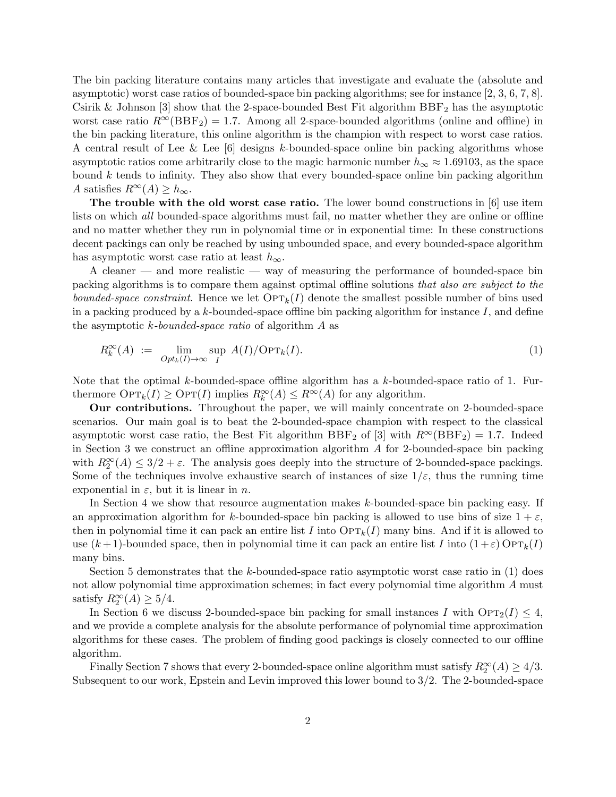The bin packing literature contains many articles that investigate and evaluate the (absolute and asymptotic) worst case ratios of bounded-space bin packing algorithms; see for instance [2, 3, 6, 7, 8]. Csirik & Johnson [3] show that the 2-space-bounded Best Fit algorithm  $BBF<sub>2</sub>$  has the asymptotic worst case ratio  $R^{\infty}(\text{BBF}_2) = 1.7$ . Among all 2-space-bounded algorithms (online and offline) in the bin packing literature, this online algorithm is the champion with respect to worst case ratios. A central result of Lee & Lee [6] designs k-bounded-space online bin packing algorithms whose asymptotic ratios come arbitrarily close to the magic harmonic number  $h_{\infty} \approx 1.69103$ , as the space bound  $k$  tends to infinity. They also show that every bounded-space online bin packing algorithm A satisfies  $R^{\infty}(A) \geq h_{\infty}$ .

The trouble with the old worst case ratio. The lower bound constructions in [6] use item lists on which *all* bounded-space algorithms must fail, no matter whether they are online or offline and no matter whether they run in polynomial time or in exponential time: In these constructions decent packings can only be reached by using unbounded space, and every bounded-space algorithm has asymptotic worst case ratio at least  $h_{\infty}$ .

A cleaner — and more realistic — way of measuring the performance of bounded-space bin packing algorithms is to compare them against optimal offline solutions that also are subject to the bounded-space constraint. Hence we let  $\text{OPT}_k(I)$  denote the smallest possible number of bins used in a packing produced by a k-bounded-space offline bin packing algorithm for instance  $I$ , and define the asymptotic  $k$ -bounded-space ratio of algorithm  $A$  as

$$
R_k^{\infty}(A) := \lim_{Opt_k(I) \to \infty} \sup_{I} A(I)/\text{OPT}_k(I). \tag{1}
$$

Note that the optimal k-bounded-space offline algorithm has a k-bounded-space ratio of 1. Furthermore  $\text{OPT}_k(I) \geq \text{OPT}(I)$  implies  $R_k^{\infty}(A) \leq R^{\infty}(A)$  for any algorithm.

Our contributions. Throughout the paper, we will mainly concentrate on 2-bounded-space scenarios. Our main goal is to beat the 2-bounded-space champion with respect to the classical asymptotic worst case ratio, the Best Fit algorithm BBF<sub>2</sub> of [3] with  $R^{\infty}(\text{BBF}_2) = 1.7$ . Indeed in Section 3 we construct an offline approximation algorithm  $\Lambda$  for 2-bounded-space bin packing with  $R_2^{\infty}(A) \leq 3/2 + \varepsilon$ . The analysis goes deeply into the structure of 2-bounded-space packings. Some of the techniques involve exhaustive search of instances of size  $1/\varepsilon$ , thus the running time exponential in  $\varepsilon$ , but it is linear in *n*.

In Section 4 we show that resource augmentation makes k-bounded-space bin packing easy. If an approximation algorithm for k-bounded-space bin packing is allowed to use bins of size  $1 + \varepsilon$ , then in polynomial time it can pack an entire list I into  $\text{OPT}_k(I)$  many bins. And if it is allowed to use  $(k+1)$ -bounded space, then in polynomial time it can pack an entire list I into  $(1+\varepsilon)$  OPT<sub>k</sub> $(I)$ many bins.

Section 5 demonstrates that the k-bounded-space ratio asymptotic worst case ratio in  $(1)$  does not allow polynomial time approximation schemes; in fact every polynomial time algorithm A must satisfy  $R_2^{\infty}(A) \geq 5/4$ .

In Section 6 we discuss 2-bounded-space bin packing for small instances I with  $\text{OPT}_2(I) \leq 4$ , and we provide a complete analysis for the absolute performance of polynomial time approximation algorithms for these cases. The problem of finding good packings is closely connected to our offline algorithm.

Finally Section 7 shows that every 2-bounded-space online algorithm must satisfy  $R_2^{\infty}(A) \geq 4/3$ . Subsequent to our work, Epstein and Levin improved this lower bound to 3/2. The 2-bounded-space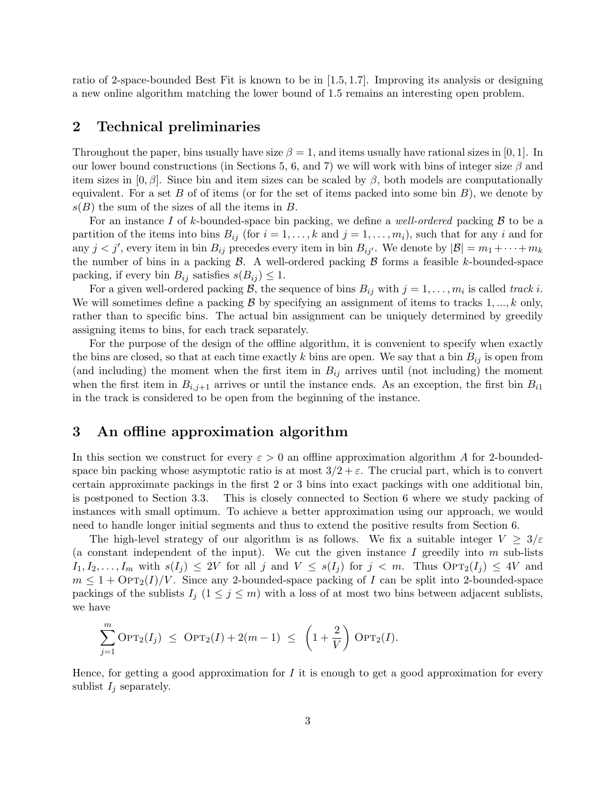ratio of 2-space-bounded Best Fit is known to be in [1.5, 1.7]. Improving its analysis or designing a new online algorithm matching the lower bound of 1.5 remains an interesting open problem.

### 2 Technical preliminaries

Throughout the paper, bins usually have size  $\beta = 1$ , and items usually have rational sizes in [0, 1]. In our lower bound constructions (in Sections 5, 6, and 7) we will work with bins of integer size  $\beta$  and item sizes in  $[0, \beta]$ . Since bin and item sizes can be scaled by  $\beta$ , both models are computationally equivalent. For a set B of of items (or for the set of items packed into some bin  $B$ ), we denote by  $s(B)$  the sum of the sizes of all the items in B.

For an instance I of k-bounded-space bin packing, we define a *well-ordered* packing  $\beta$  to be a partition of the items into bins  $B_{ij}$  (for  $i = 1, \ldots, k$  and  $j = 1, \ldots, m_i$ ), such that for any i and for any  $j < j'$ , every item in bin  $B_{ij}$  precedes every item in bin  $B_{ij'}$ . We denote by  $|\mathcal{B}| = m_1 + \cdots + m_k$ the number of bins in a packing  $\beta$ . A well-ordered packing  $\beta$  forms a feasible k-bounded-space packing, if every bin  $B_{ij}$  satisfies  $s(B_{ij}) \leq 1$ .

For a given well-ordered packing B, the sequence of bins  $B_{ij}$  with  $j = 1, \ldots, m_i$  is called track i. We will sometimes define a packing  $\mathcal B$  by specifying an assignment of items to tracks 1, ..., k only, rather than to specific bins. The actual bin assignment can be uniquely determined by greedily assigning items to bins, for each track separately.

For the purpose of the design of the offline algorithm, it is convenient to specify when exactly the bins are closed, so that at each time exactly k bins are open. We say that a bin  $B_{ij}$  is open from (and including) the moment when the first item in  $B_{ij}$  arrives until (not including) the moment when the first item in  $B_{i,j+1}$  arrives or until the instance ends. As an exception, the first bin  $B_{i1}$ in the track is considered to be open from the beginning of the instance.

### 3 An offline approximation algorithm

In this section we construct for every  $\varepsilon > 0$  an offline approximation algorithm A for 2-boundedspace bin packing whose asymptotic ratio is at most  $3/2 + \varepsilon$ . The crucial part, which is to convert certain approximate packings in the first 2 or 3 bins into exact packings with one additional bin, is postponed to Section 3.3. This is closely connected to Section 6 where we study packing of instances with small optimum. To achieve a better approximation using our approach, we would need to handle longer initial segments and thus to extend the positive results from Section 6.

The high-level strategy of our algorithm is as follows. We fix a suitable integer  $V \geq 3/\varepsilon$ (a constant independent of the input). We cut the given instance  $I$  greedily into  $m$  sub-lists  $I_1, I_2, \ldots, I_m$  with  $s(I_j) \leq 2V$  for all j and  $V \leq s(I_j)$  for  $j < m$ . Thus  $\text{OPT}_2(I_j) \leq 4V$  and  $m \leq 1 + \text{OPT}_2(I)/V$ . Since any 2-bounded-space packing of I can be split into 2-bounded-space packings of the sublists  $I_j$  ( $1 \leq j \leq m$ ) with a loss of at most two bins between adjacent sublists, we have

$$
\sum_{j=1}^{m} \text{OPT}_2(I_j) \leq \text{OPT}_2(I) + 2(m-1) \leq \left(1 + \frac{2}{V}\right) \text{OPT}_2(I).
$$

Hence, for getting a good approximation for  $I$  it is enough to get a good approximation for every sublist  $I_i$  separately.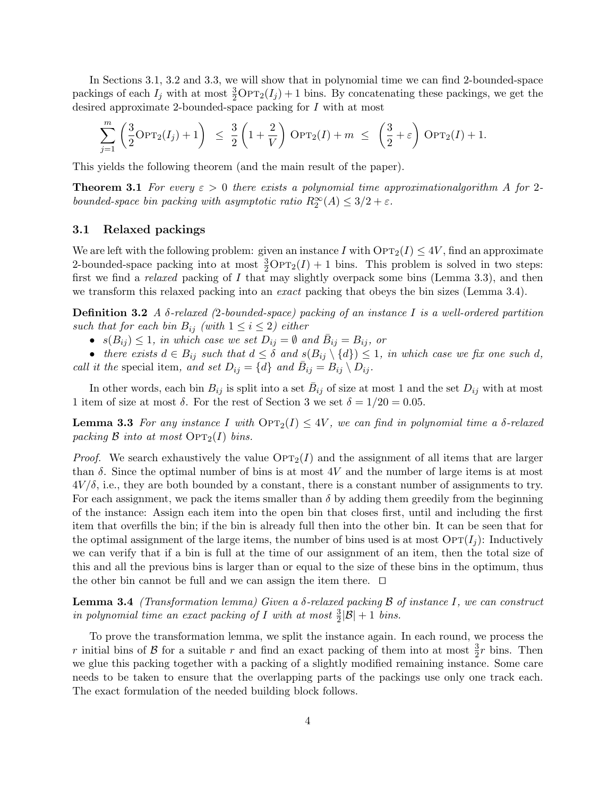In Sections 3.1, 3.2 and 3.3, we will show that in polynomial time we can find 2-bounded-space packings of each  $I_j$  with at most  $\frac{3}{2}$ OPT<sub>2</sub>( $I_j$ ) + 1 bins. By concatenating these packings, we get the desired approximate 2-bounded-space packing for I with at most

$$
\sum_{j=1}^m \left(\frac{3}{2}\mathrm{OPT}_2(I_j)+1\right) \leq \frac{3}{2}\left(1+\frac{2}{V}\right)\mathrm{OPT}_2(I)+m \leq \left(\frac{3}{2}+\varepsilon\right)\mathrm{OPT}_2(I)+1.
$$

This yields the following theorem (and the main result of the paper).

**Theorem 3.1** For every  $\varepsilon > 0$  there exists a polynomial time approximationalgorithm A for 2bounded-space bin packing with asymptotic ratio  $R_2^{\infty}(A) \leq 3/2 + \varepsilon$ .

### 3.1 Relaxed packings

We are left with the following problem: given an instance I with  $\text{OPT}_2(I) \leq 4V$ , find an approximate 2-bounded-space packing into at most  $\frac{3}{2} \text{OPT}_2(I) + 1$  bins. This problem is solved in two steps: first we find a *relaxed* packing of I that may slightly overpack some bins (Lemma 3.3), and then we transform this relaxed packing into an *exact* packing that obeys the bin sizes (Lemma 3.4).

**Definition 3.2** A  $\delta$ -relaxed (2-bounded-space) packing of an instance I is a well-ordered partition such that for each bin  $B_{ij}$  (with  $1 \leq i \leq 2$ ) either

•  $s(B_{ij}) \leq 1$ , in which case we set  $D_{ij} = \emptyset$  and  $\bar{B}_{ij} = B_{ij}$ , or

• there exists  $d \in B_{ij}$  such that  $d \leq \delta$  and  $s(B_{ij} \setminus \{d\}) \leq 1$ , in which case we fix one such d, call it the special item, and set  $D_{ij} = \{d\}$  and  $\overline{B}_{ij} = B_{ij} \setminus D_{ij}$ .

In other words, each bin  $B_{ij}$  is split into a set  $\bar{B}_{ij}$  of size at most 1 and the set  $D_{ij}$  with at most 1 item of size at most  $\delta$ . For the rest of Section 3 we set  $\delta = 1/20 = 0.05$ .

**Lemma 3.3** For any instance I with  $\text{OPT}_2(I) \leq 4V$ , we can find in polynomial time a  $\delta$ -relaxed packing  $\beta$  into at most  $\text{OPT}_2(I)$  bins.

*Proof.* We search exhaustively the value  $\text{OPT}_2(I)$  and the assignment of all items that are larger than  $\delta$ . Since the optimal number of bins is at most 4V and the number of large items is at most  $4V/\delta$ , i.e., they are both bounded by a constant, there is a constant number of assignments to try. For each assignment, we pack the items smaller than  $\delta$  by adding them greedily from the beginning of the instance: Assign each item into the open bin that closes first, until and including the first item that overfills the bin; if the bin is already full then into the other bin. It can be seen that for the optimal assignment of the large items, the number of bins used is at most  $\text{OPT}(I_i)$ : Inductively we can verify that if a bin is full at the time of our assignment of an item, then the total size of this and all the previous bins is larger than or equal to the size of these bins in the optimum, thus the other bin cannot be full and we can assign the item there.  $\Box$ 

**Lemma 3.4** (Transformation lemma) Given a δ-relaxed packing  $\beta$  of instance I, we can construct in polynomial time an exact packing of I with at most  $\frac{3}{2}|\mathcal{B}|+1$  bins.

To prove the transformation lemma, we split the instance again. In each round, we process the r initial bins of  $\mathcal B$  for a suitable r and find an exact packing of them into at most  $\frac{3}{2}r$  bins. Then we glue this packing together with a packing of a slightly modified remaining instance. Some care needs to be taken to ensure that the overlapping parts of the packings use only one track each. The exact formulation of the needed building block follows.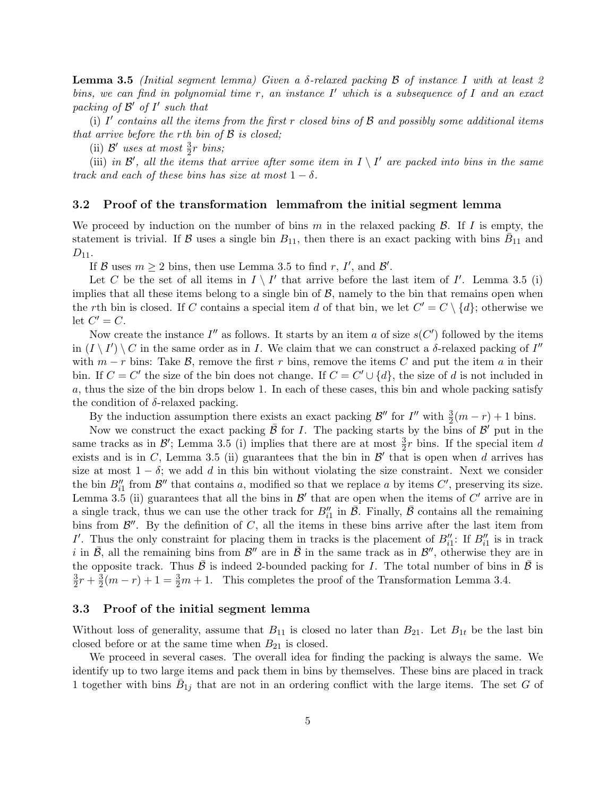**Lemma 3.5** (Initial segment lemma) Given a  $\delta$ -relaxed packing  $\beta$  of instance I with at least 2 bins, we can find in polynomial time  $r$ , an instance  $I'$  which is a subsequence of  $I$  and an exact packing of  $\mathcal{B}'$  of  $I'$  such that

(i) I' contains all the items from the first r closed bins of  $\beta$  and possibly some additional items that arrive before the rth bin of  $\beta$  is closed;

(ii)  $\mathcal{B}'$  uses at most  $\frac{3}{2}r$  bins;

(iii) in  $\mathcal{B}'$ , all the items that arrive after some item in  $I \setminus I'$  are packed into bins in the same track and each of these bins has size at most  $1 - \delta$ .

#### 3.2 Proof of the transformation lemmafrom the initial segment lemma

We proceed by induction on the number of bins m in the relaxed packing  $\beta$ . If I is empty, the statement is trivial. If B uses a single bin  $B_{11}$ , then there is an exact packing with bins  $\bar{B}_{11}$  and  $D_{11}$ .

If B uses  $m \ge 2$  bins, then use Lemma 3.5 to find r, I', and B'.

Let C be the set of all items in  $I \setminus I'$  that arrive before the last item of I'. Lemma 3.5 (i) implies that all these items belong to a single bin of  $\beta$ , namely to the bin that remains open when the rth bin is closed. If C contains a special item d of that bin, we let  $C' = C \setminus \{d\}$ ; otherwise we let  $C' = C$ .

Now create the instance  $I''$  as follows. It starts by an item a of size  $s(C')$  followed by the items in  $(I \setminus I') \setminus C$  in the same order as in I. We claim that we can construct a  $\delta$ -relaxed packing of I'' with  $m - r$  bins: Take B, remove the first r bins, remove the items C and put the item a in their bin. If  $C = C'$  the size of the bin does not change. If  $C = C' \cup \{d\}$ , the size of d is not included in a, thus the size of the bin drops below 1. In each of these cases, this bin and whole packing satisfy the condition of  $\delta$ -relaxed packing.

By the induction assumption there exists an exact packing  $\mathcal{B}''$  for  $I''$  with  $\frac{3}{2}(m-r)+1$  bins.

Now we construct the exact packing  $\bar{\beta}$  for I. The packing starts by the bins of  $\beta'$  put in the same tracks as in  $\mathcal{B}'$ ; Lemma 3.5 (i) implies that there are at most  $\frac{3}{2}r$  bins. If the special item d exists and is in C, Lemma 3.5 (ii) guarantees that the bin in  $\mathcal{B}'$  that is open when d arrives has size at most  $1 - \delta$ ; we add d in this bin without violating the size constraint. Next we consider the bin  $B''_{i1}$  from  $\mathcal{B}''$  that contains a, modified so that we replace a by items  $C'$ , preserving its size. Lemma 3.5 (ii) guarantees that all the bins in  $\mathcal{B}'$  that are open when the items of  $C'$  arrive are in a single track, thus we can use the other track for  $B''_{i1}$  in  $\overline{B}$ . Finally,  $\overline{B}$  contains all the remaining bins from  $\mathcal{B}''$ . By the definition of C, all the items in these bins arrive after the last item from I'. Thus the only constraint for placing them in tracks is the placement of  $B_{i1}''$ : If  $B_{i1}''$  is in track i in  $\bar{\mathcal{B}}$ , all the remaining bins from  $\mathcal{B}''$  are in  $\bar{\mathcal{B}}$  in the same track as in  $\mathcal{B}''$ , otherwise they are in the opposite track. Thus  $\bar{\beta}$  is indeed 2-bounded packing for I. The total number of bins in  $\bar{\beta}$  is 3  $\frac{3}{2}r + \frac{3}{2}$  $\frac{3}{2}(m-r)+1=\frac{3}{2}m+1$ . This completes the proof of the Transformation Lemma 3.4.

#### 3.3 Proof of the initial segment lemma

Without loss of generality, assume that  $B_{11}$  is closed no later than  $B_{21}$ . Let  $B_{1t}$  be the last bin closed before or at the same time when  $B_{21}$  is closed.

We proceed in several cases. The overall idea for finding the packing is always the same. We identify up to two large items and pack them in bins by themselves. These bins are placed in track 1 together with bins  $\bar{B}_{1j}$  that are not in an ordering conflict with the large items. The set G of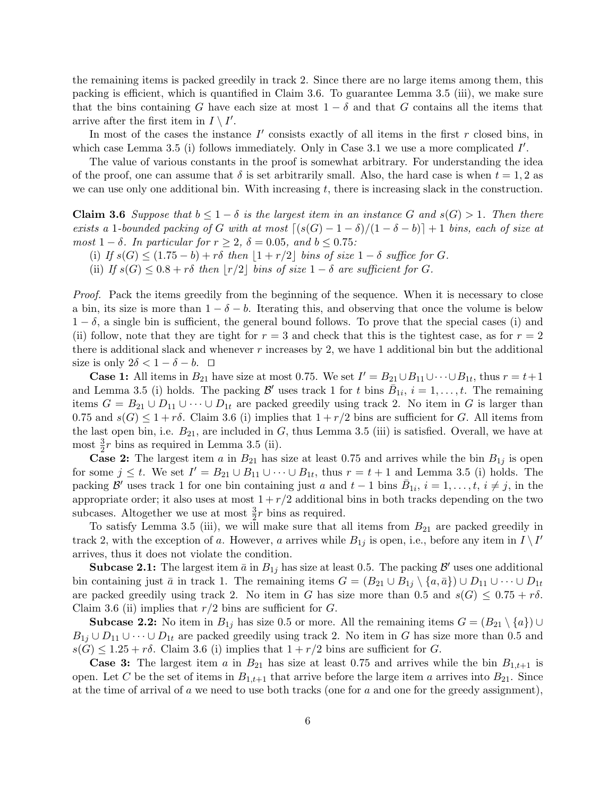the remaining items is packed greedily in track 2. Since there are no large items among them, this packing is efficient, which is quantified in Claim 3.6. To guarantee Lemma 3.5 (iii), we make sure that the bins containing G have each size at most  $1 - \delta$  and that G contains all the items that arrive after the first item in  $I \setminus I'$ .

In most of the cases the instance  $I'$  consists exactly of all items in the first r closed bins, in which case Lemma 3.5 (i) follows immediately. Only in Case 3.1 we use a more complicated  $I'$ .

The value of various constants in the proof is somewhat arbitrary. For understanding the idea of the proof, one can assume that  $\delta$  is set arbitrarily small. Also, the hard case is when  $t = 1, 2$  as we can use only one additional bin. With increasing  $t$ , there is increasing slack in the construction.

**Claim 3.6** Suppose that  $b \leq 1 - \delta$  is the largest item in an instance G and  $s(G) > 1$ . Then there exists a 1-bounded packing of G with at most  $\lceil (s(G) - 1 - \delta)/(1 - \delta - b) \rceil + 1$  bins, each of size at most  $1 - \delta$ . In particular for  $r \geq 2$ ,  $\delta = 0.05$ , and  $b \leq 0.75$ :

- (i) If  $s(G) \leq (1.75 b) + r\delta$  then  $|1 + r/2|$  bins of size  $1 \delta$  suffice for G.
- (ii) If  $s(G) \leq 0.8 + r\delta$  then  $|r/2|$  bins of size  $1 \delta$  are sufficient for G.

Proof. Pack the items greedily from the beginning of the sequence. When it is necessary to close a bin, its size is more than  $1 - \delta - b$ . Iterating this, and observing that once the volume is below  $1 - \delta$ , a single bin is sufficient, the general bound follows. To prove that the special cases (i) and (ii) follow, note that they are tight for  $r = 3$  and check that this is the tightest case, as for  $r = 2$ there is additional slack and whenever r increases by 2, we have 1 additional bin but the additional size is only  $2\delta < 1 - \delta - b$ .  $\Box$ 

**Case 1:** All items in  $B_{21}$  have size at most 0.75. We set  $I' = B_{21} \cup B_{11} \cup \cdots \cup B_{1t}$ , thus  $r = t + 1$ and Lemma 3.5 (i) holds. The packing  $\mathcal{B}'$  uses track 1 for t bins  $\bar{B}_{1i}$ ,  $i = 1, \ldots, t$ . The remaining items  $G = B_{21} \cup D_{11} \cup \cdots \cup D_{1t}$  are packed greedily using track 2. No item in G is larger than 0.75 and  $s(G) \leq 1 + r\delta$ . Claim 3.6 (i) implies that  $1 + r/2$  bins are sufficient for G. All items from the last open bin, i.e.  $B_{21}$ , are included in G, thus Lemma 3.5 (iii) is satisfied. Overall, we have at most  $\frac{3}{2}r$  bins as required in Lemma 3.5 (ii).

**Case 2:** The largest item a in  $B_{21}$  has size at least 0.75 and arrives while the bin  $B_{1j}$  is open for some  $j \leq t$ . We set  $I' = B_{21} \cup B_{11} \cup \cdots \cup B_{1t}$ , thus  $r = t + 1$  and Lemma 3.5 (i) holds. The packing B' uses track 1 for one bin containing just a and  $t-1$  bins  $\bar{B}_{1i}$ ,  $i=1,\ldots,t$ ,  $i \neq j$ , in the appropriate order; it also uses at most  $1 + r/2$  additional bins in both tracks depending on the two subcases. Altogether we use at most  $\frac{3}{2}r$  bins as required.

To satisfy Lemma 3.5 (iii), we will make sure that all items from  $B_{21}$  are packed greedily in track 2, with the exception of a. However, a arrives while  $B_{1j}$  is open, i.e., before any item in  $I \setminus I'$ arrives, thus it does not violate the condition.

**Subcase 2.1:** The largest item  $\bar{a}$  in  $B_{1j}$  has size at least 0.5. The packing  $\mathcal{B}'$  uses one additional bin containing just  $\bar{a}$  in track 1. The remaining items  $G = (B_{21} \cup B_{1j} \setminus \{a, \bar{a}\}) \cup D_{11} \cup \cdots \cup D_{1t}$ are packed greedily using track 2. No item in G has size more than 0.5 and  $s(G) \leq 0.75 + r\delta$ . Claim 3.6 (ii) implies that  $r/2$  bins are sufficient for  $G$ .

**Subcase 2.2:** No item in  $B_{1j}$  has size 0.5 or more. All the remaining items  $G = (B_{21} \setminus \{a\}) \cup$  $B_{1j} \cup D_{11} \cup \cdots \cup D_{1t}$  are packed greedily using track 2. No item in G has size more than 0.5 and  $s(G) \leq 1.25 + r\delta$ . Claim 3.6 (i) implies that  $1 + r/2$  bins are sufficient for G.

**Case 3:** The largest item a in  $B_{21}$  has size at least 0.75 and arrives while the bin  $B_{1,t+1}$  is open. Let C be the set of items in  $B_{1,t+1}$  that arrive before the large item a arrives into  $B_{21}$ . Since at the time of arrival of a we need to use both tracks (one for a and one for the greedy assignment),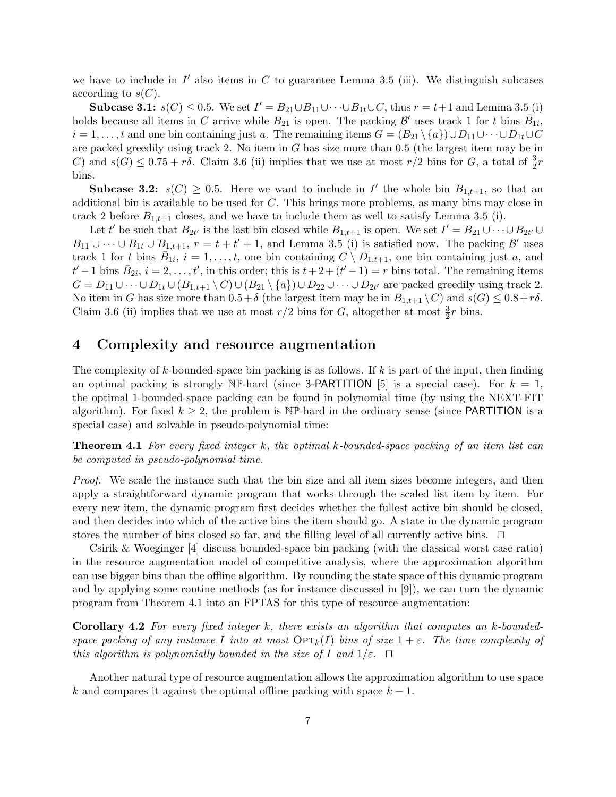we have to include in  $I'$  also items in  $C$  to guarantee Lemma 3.5 (iii). We distinguish subcases according to  $s(C)$ .

Subcase 3.1:  $s(C) \leq 0.5$ . We set  $I' = B_{21} \cup B_{11} \cup \cdots \cup B_{1t} \cup C$ , thus  $r = t+1$  and Lemma 3.5 (i) holds because all items in C arrive while  $B_{21}$  is open. The packing  $\mathcal{B}'$  uses track 1 for t bins  $\bar{B}_{1i}$ ,  $i = 1, \ldots, t$  and one bin containing just a. The remaining items  $G = (B_{21} \setminus \{a\}) \cup D_{11} \cup \cdots \cup D_{1t} \cup C$ are packed greedily using track 2. No item in G has size more than 0.5 (the largest item may be in C) and  $s(G) \leq 0.75 + r\delta$ . Claim 3.6 (ii) implies that we use at most  $r/2$  bins for G, a total of  $\frac{3}{2}r$ bins.

**Subcase 3.2:**  $s(C) \geq 0.5$ . Here we want to include in I' the whole bin  $B_{1,t+1}$ , so that an additional bin is available to be used for C. This brings more problems, as many bins may close in track 2 before  $B_{1,t+1}$  closes, and we have to include them as well to satisfy Lemma 3.5 (i).

Let t' be such that  $B_{2t'}$  is the last bin closed while  $B_{1,t+1}$  is open. We set  $I' = B_{21} \cup \cdots \cup B_{2t'} \cup$  $B_{11} \cup \cdots \cup B_{1t} \cup B_{1,t+1}, r = t+t'+1$ , and Lemma 3.5 (i) is satisfied now. The packing  $\mathcal{B}'$  uses track 1 for t bins  $\overline{B}_{1i}$ ,  $i = 1, \ldots, t$ , one bin containing  $C \setminus D_{1,t+1}$ , one bin containing just a, and  $t'-1$  bins  $\bar{B}_{2i}$ ,  $i=2,\ldots,t'$ , in this order; this is  $t+2+(t'-1)=r$  bins total. The remaining items  $G = D_{11} \cup \cdots \cup D_{1t} \cup (B_{1,t+1} \setminus C) \cup (B_{21} \setminus \{a\}) \cup D_{22} \cup \cdots \cup D_{2t'}$  are packed greedily using track 2. No item in G has size more than  $0.5+\delta$  (the largest item may be in  $B_{1,t+1} \backslash C$ ) and  $s(G) \leq 0.8+r\delta$ . Claim 3.6 (ii) implies that we use at most  $r/2$  bins for G, altogether at most  $\frac{3}{2}r$  bins.

### 4 Complexity and resource augmentation

The complexity of k-bounded-space bin packing is as follows. If  $k$  is part of the input, then finding an optimal packing is strongly NP-hard (since 3-PARTITION [5] is a special case). For  $k = 1$ , the optimal 1-bounded-space packing can be found in polynomial time (by using the NEXT-FIT algorithm). For fixed  $k \geq 2$ , the problem is NP-hard in the ordinary sense (since PARTITION is a special case) and solvable in pseudo-polynomial time:

**Theorem 4.1** For every fixed integer k, the optimal k-bounded-space packing of an item list can be computed in pseudo-polynomial time.

Proof. We scale the instance such that the bin size and all item sizes become integers, and then apply a straightforward dynamic program that works through the scaled list item by item. For every new item, the dynamic program first decides whether the fullest active bin should be closed, and then decides into which of the active bins the item should go. A state in the dynamic program stores the number of bins closed so far, and the filling level of all currently active bins.  $\Box$ 

Csirik & Woeginger [4] discuss bounded-space bin packing (with the classical worst case ratio) in the resource augmentation model of competitive analysis, where the approximation algorithm can use bigger bins than the offline algorithm. By rounding the state space of this dynamic program and by applying some routine methods (as for instance discussed in [9]), we can turn the dynamic program from Theorem 4.1 into an FPTAS for this type of resource augmentation:

Corollary 4.2 For every fixed integer k, there exists an algorithm that computes an k-boundedspace packing of any instance I into at most  $\text{OPT}_k(I)$  bins of size  $1 + \varepsilon$ . The time complexity of this algorithm is polynomially bounded in the size of I and  $1/\varepsilon$ .  $\Box$ 

Another natural type of resource augmentation allows the approximation algorithm to use space k and compares it against the optimal offline packing with space  $k - 1$ .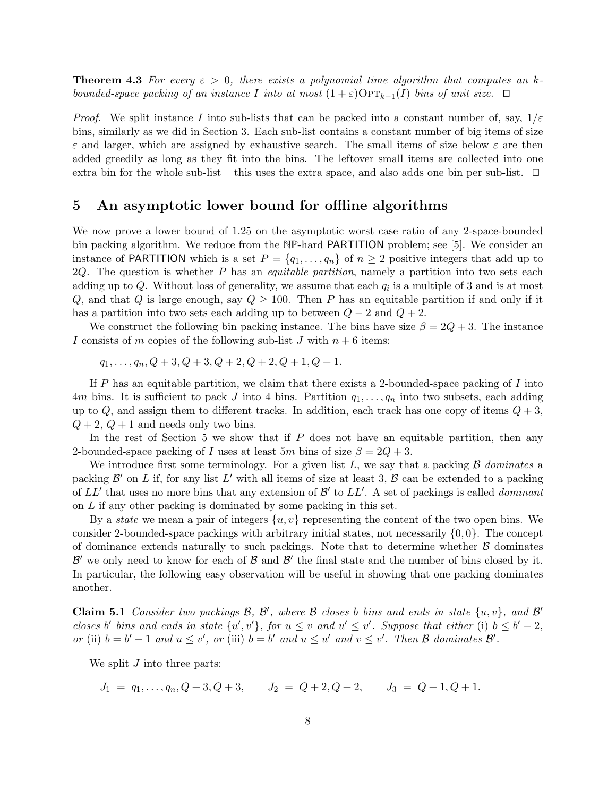**Theorem 4.3** For every  $\varepsilon > 0$ , there exists a polynomial time algorithm that computes an kbounded-space packing of an instance I into at most  $(1 + \varepsilon)$ OPT<sub>k−1</sub>(I) bins of unit size.  $\Box$ 

*Proof.* We split instance I into sub-lists that can be packed into a constant number of, say,  $1/\varepsilon$ bins, similarly as we did in Section 3. Each sub-list contains a constant number of big items of size  $\varepsilon$  and larger, which are assigned by exhaustive search. The small items of size below  $\varepsilon$  are then added greedily as long as they fit into the bins. The leftover small items are collected into one extra bin for the whole sub-list – this uses the extra space, and also adds one bin per sub-list.  $\Box$ 

### 5 An asymptotic lower bound for offline algorithms

We now prove a lower bound of 1.25 on the asymptotic worst case ratio of any 2-space-bounded bin packing algorithm. We reduce from the NP-hard PARTITION problem; see [5]. We consider an instance of PARTITION which is a set  $P = \{q_1, \ldots, q_n\}$  of  $n \geq 2$  positive integers that add up to  $2Q$ . The question is whether P has an *equitable partition*, namely a partition into two sets each adding up to  $Q$ . Without loss of generality, we assume that each  $q_i$  is a multiple of 3 and is at most Q, and that Q is large enough, say  $Q \ge 100$ . Then P has an equitable partition if and only if it has a partition into two sets each adding up to between  $Q - 2$  and  $Q + 2$ .

We construct the following bin packing instance. The bins have size  $\beta = 2Q + 3$ . The instance I consists of m copies of the following sub-list J with  $n + 6$  items:

$$
q_1, \ldots, q_n, Q+3, Q+3, Q+2, Q+2, Q+1, Q+1.
$$

If P has an equitable partition, we claim that there exists a 2-bounded-space packing of I into 4m bins. It is sufficient to pack J into 4 bins. Partition  $q_1, \ldots, q_n$  into two subsets, each adding up to  $Q$ , and assign them to different tracks. In addition, each track has one copy of items  $Q + 3$ ,  $Q+2$ ,  $Q+1$  and needs only two bins.

In the rest of Section 5 we show that if  $P$  does not have an equitable partition, then any 2-bounded-space packing of I uses at least 5m bins of size  $\beta = 2Q + 3$ .

We introduce first some terminology. For a given list  $L$ , we say that a packing  $\beta$  dominates a packing  $\mathcal{B}'$  on L if, for any list L' with all items of size at least 3,  $\mathcal{B}$  can be extended to a packing of  $LL'$  that uses no more bins that any extension of  $\mathcal{B}'$  to  $LL'$ . A set of packings is called *dominant* on L if any other packing is dominated by some packing in this set.

By a *state* we mean a pair of integers  $\{u, v\}$  representing the content of the two open bins. We consider 2-bounded-space packings with arbitrary initial states, not necessarily  $\{0, 0\}$ . The concept of dominance extends naturally to such packings. Note that to determine whether  $\beta$  dominates  $\mathcal{B}'$  we only need to know for each of  $\mathcal{B}$  and  $\mathcal{B}'$  the final state and the number of bins closed by it. In particular, the following easy observation will be useful in showing that one packing dominates another.

Claim 5.1 Consider two packings  $\mathcal{B}, \mathcal{B}'$ , where  $\mathcal{B}$  closes b bins and ends in state  $\{u, v\}$ , and  $\mathcal{B}'$ closes b' bins and ends in state  $\{u', v'\}$ , for  $u \leq v$  and  $u' \leq v'$ . Suppose that either (i)  $b \leq b' - 2$ , or (ii)  $b = b' - 1$  and  $u \le v'$ , or (iii)  $b = b'$  and  $u \le u'$  and  $v \le v'$ . Then B dominates B'.

We split  $J$  into three parts:

$$
J_1 = q_1, \dots, q_n, Q+3, Q+3, \qquad J_2 = Q+2, Q+2, \qquad J_3 = Q+1, Q+1.
$$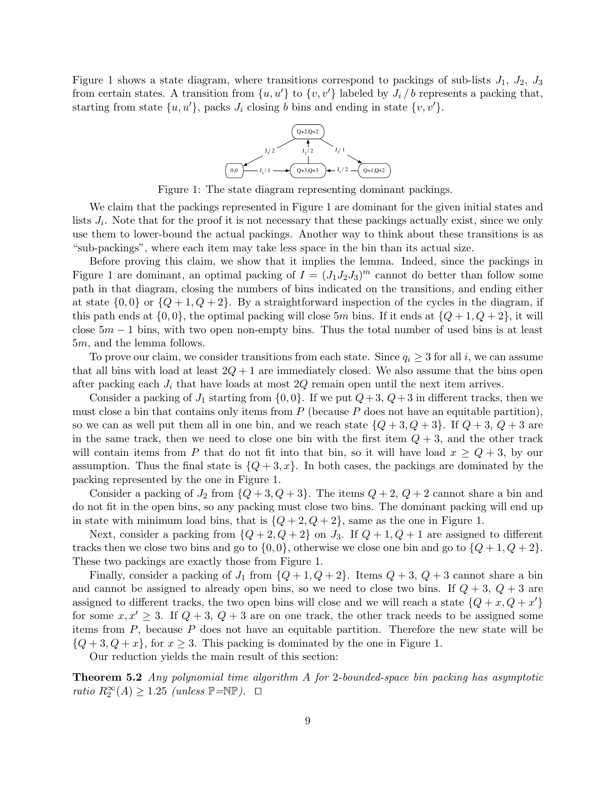Figure 1 shows a state diagram, where transitions correspond to packings of sub-lists  $J_1$ ,  $J_2$ ,  $J_3$ from certain states. A transition from  $\{u, u'\}$  to  $\{v, v'\}$  labeled by  $J_i / b$  represents a packing that, starting from state  $\{u, u'\}$ , packs  $J_i$  closing b bins and ending in state  $\{v, v'\}$ .



Figure 1: The state diagram representing dominant packings.

We claim that the packings represented in Figure 1 are dominant for the given initial states and lists  $J_i$ . Note that for the proof it is not necessary that these packings actually exist, since we only use them to lower-bound the actual packings. Another way to think about these transitions is as "sub-packings", where each item may take less space in the bin than its actual size.

Before proving this claim, we show that it implies the lemma. Indeed, since the packings in Figure 1 are dominant, an optimal packing of  $I = (J_1J_2J_3)^m$  cannot do better than follow some path in that diagram, closing the numbers of bins indicated on the transitions, and ending either at state  $\{0,0\}$  or  $\{Q+1,Q+2\}$ . By a straightforward inspection of the cycles in the diagram, if this path ends at  $\{0, 0\}$ , the optimal packing will close 5m bins. If it ends at  $\{Q+1, Q+2\}$ , it will close  $5m - 1$  bins, with two open non-empty bins. Thus the total number of used bins is at least 5m, and the lemma follows.

To prove our claim, we consider transitions from each state. Since  $q_i \geq 3$  for all i, we can assume that all bins with load at least  $2Q + 1$  are immediately closed. We also assume that the bins open after packing each  $J_i$  that have loads at most  $2Q$  remain open until the next item arrives.

Consider a packing of  $J_1$  starting from  $\{0,0\}$ . If we put  $Q+3$ ,  $Q+3$  in different tracks, then we must close a bin that contains only items from  $P$  (because  $P$  does not have an equitable partition). so we can as well put them all in one bin, and we reach state  $\{Q+3, Q+3\}$ . If  $Q+3, Q+3$  are in the same track, then we need to close one bin with the first item  $Q + 3$ , and the other track will contain items from P that do not fit into that bin, so it will have load  $x \ge Q+3$ , by our assumption. Thus the final state is  $\{Q+3,x\}$ . In both cases, the packings are dominated by the packing represented by the one in Figure 1.

Consider a packing of  $J_2$  from  $\{Q+3,Q+3\}$ . The items  $Q+2$ ,  $Q+2$  cannot share a bin and do not fit in the open bins, so any packing must close two bins. The dominant packing will end up in state with minimum load bins, that is  $\{Q+2, Q+2\}$ , same as the one in Figure 1.

Next, consider a packing from  $\{Q+2,Q+2\}$  on  $J_3$ . If  $Q+1,Q+1$  are assigned to different tracks then we close two bins and go to  $\{0,0\}$ , otherwise we close one bin and go to  $\{Q+1,Q+2\}$ . These two packings are exactly those from Figure 1.

Finally, consider a packing of  $J_1$  from  $\{Q+1,Q+2\}$ . Items  $Q+3$ ,  $Q+3$  cannot share a bin and cannot be assigned to already open bins, so we need to close two bins. If  $Q + 3$ ,  $Q + 3$  are assigned to different tracks, the two open bins will close and we will reach a state  ${Q + x, Q + x'}$ for some  $x, x' \geq 3$ . If  $Q + 3$ ,  $Q + 3$  are on one track, the other track needs to be assigned some items from  $P$ , because  $P$  does not have an equitable partition. Therefore the new state will be  ${Q+3, Q+x}$ , for  $x \geq 3$ . This packing is dominated by the one in Figure 1.

Our reduction yields the main result of this section:

**Theorem 5.2** Any polynomial time algorithm A for 2-bounded-space bin packing has asymptotic ratio  $R_2^{\infty}(A) \ge 1.25$  (unless  $\mathbb{P} = \mathbb{NP}$ ).  $\Box$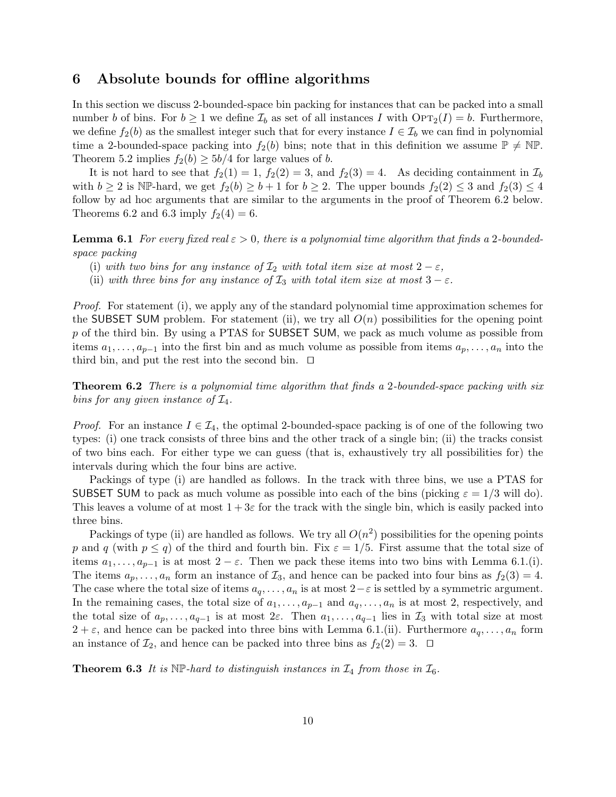### 6 Absolute bounds for offline algorithms

In this section we discuss 2-bounded-space bin packing for instances that can be packed into a small number b of bins. For  $b \ge 1$  we define  $\mathcal{I}_b$  as set of all instances I with  $\text{OPT}_2(I) = b$ . Furthermore, we define  $f_2(b)$  as the smallest integer such that for every instance  $I \in \mathcal{I}_b$  we can find in polynomial time a 2-bounded-space packing into  $f_2(b)$  bins; note that in this definition we assume  $\mathbb{P} \neq \mathbb{NP}$ . Theorem 5.2 implies  $f_2(b) \ge 5b/4$  for large values of b.

It is not hard to see that  $f_2(1) = 1$ ,  $f_2(2) = 3$ , and  $f_2(3) = 4$ . As deciding containment in  $\mathcal{I}_b$ with  $b \ge 2$  is NP-hard, we get  $f_2(b) \ge b+1$  for  $b \ge 2$ . The upper bounds  $f_2(2) \le 3$  and  $f_2(3) \le 4$ follow by ad hoc arguments that are similar to the arguments in the proof of Theorem 6.2 below. Theorems 6.2 and 6.3 imply  $f_2(4) = 6$ .

**Lemma 6.1** For every fixed real  $\varepsilon > 0$ , there is a polynomial time algorithm that finds a 2-boundedspace packing

- (i) with two bins for any instance of  $\mathcal{I}_2$  with total item size at most  $2 \varepsilon$ ,
- (ii) with three bins for any instance of  $\mathcal{I}_3$  with total item size at most  $3 \varepsilon$ .

Proof. For statement (i), we apply any of the standard polynomial time approximation schemes for the SUBSET SUM problem. For statement (ii), we try all  $O(n)$  possibilities for the opening point p of the third bin. By using a PTAS for SUBSET SUM, we pack as much volume as possible from items  $a_1, \ldots, a_{p-1}$  into the first bin and as much volume as possible from items  $a_p, \ldots, a_n$  into the third bin, and put the rest into the second bin.  $\Box$ 

**Theorem 6.2** There is a polynomial time algorithm that finds a 2-bounded-space packing with six bins for any given instance of  $\mathcal{I}_4$ .

*Proof.* For an instance  $I \in \mathcal{I}_4$ , the optimal 2-bounded-space packing is of one of the following two types: (i) one track consists of three bins and the other track of a single bin; (ii) the tracks consist of two bins each. For either type we can guess (that is, exhaustively try all possibilities for) the intervals during which the four bins are active.

Packings of type (i) are handled as follows. In the track with three bins, we use a PTAS for SUBSET SUM to pack as much volume as possible into each of the bins (picking  $\varepsilon = 1/3$  will do). This leaves a volume of at most  $1+3\varepsilon$  for the track with the single bin, which is easily packed into three bins.

Packings of type (ii) are handled as follows. We try all  $O(n^2)$  possibilities for the opening points p and q (with  $p \le q$ ) of the third and fourth bin. Fix  $\varepsilon = 1/5$ . First assume that the total size of items  $a_1, \ldots, a_{p-1}$  is at most  $2 - \varepsilon$ . Then we pack these items into two bins with Lemma 6.1.(i). The items  $a_p, \ldots, a_n$  form an instance of  $\mathcal{I}_3$ , and hence can be packed into four bins as  $f_2(3) = 4$ . The case where the total size of items  $a_q, \ldots, a_n$  is at most  $2-\varepsilon$  is settled by a symmetric argument. In the remaining cases, the total size of  $a_1, \ldots, a_{p-1}$  and  $a_q, \ldots, a_n$  is at most 2, respectively, and the total size of  $a_p, \ldots, a_{q-1}$  is at most  $2\varepsilon$ . Then  $a_1, \ldots, a_{q-1}$  lies in  $\mathcal{I}_3$  with total size at most  $2 + \varepsilon$ , and hence can be packed into three bins with Lemma 6.1.(ii). Furthermore  $a_q, \ldots, a_n$  form an instance of  $\mathcal{I}_2$ , and hence can be packed into three bins as  $f_2(2) = 3$ .  $\Box$ 

**Theorem 6.3** It is  $NP$ -hard to distinguish instances in  $\mathcal{I}_4$  from those in  $\mathcal{I}_6$ .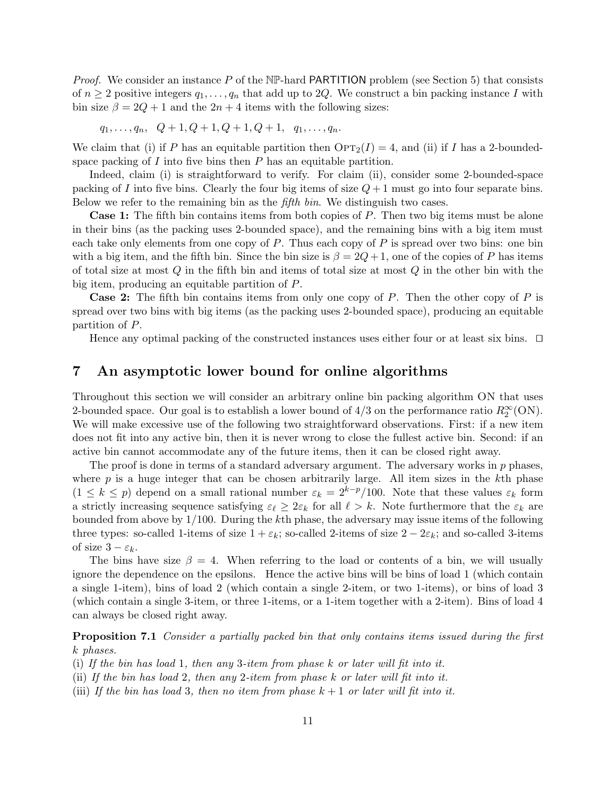*Proof.* We consider an instance P of the NP-hard PARTITION problem (see Section 5) that consists of  $n \geq 2$  positive integers  $q_1, \ldots, q_n$  that add up to 2Q. We construct a bin packing instance I with bin size  $\beta = 2Q + 1$  and the  $2n + 4$  items with the following sizes:

$$
q_1, \ldots, q_n, \quad Q+1, Q+1, Q+1, Q+1, \quad q_1, \ldots, q_n.
$$

We claim that (i) if P has an equitable partition then  $\text{OPT}_2(I) = 4$ , and (ii) if I has a 2-boundedspace packing of  $I$  into five bins then  $P$  has an equitable partition.

Indeed, claim (i) is straightforward to verify. For claim (ii), consider some 2-bounded-space packing of I into five bins. Clearly the four big items of size  $Q + 1$  must go into four separate bins. Below we refer to the remaining bin as the *fifth bin*. We distinguish two cases.

**Case 1:** The fifth bin contains items from both copies of P. Then two big items must be alone in their bins (as the packing uses 2-bounded space), and the remaining bins with a big item must each take only elements from one copy of  $P$ . Thus each copy of  $P$  is spread over two bins: one bin with a big item, and the fifth bin. Since the bin size is  $\beta = 2Q + 1$ , one of the copies of P has items of total size at most  $Q$  in the fifth bin and items of total size at most  $Q$  in the other bin with the big item, producing an equitable partition of P.

**Case 2:** The fifth bin contains items from only one copy of  $P$ . Then the other copy of  $P$  is spread over two bins with big items (as the packing uses 2-bounded space), producing an equitable partition of P.

Hence any optimal packing of the constructed instances uses either four or at least six bins.  $\Box$ 

### 7 An asymptotic lower bound for online algorithms

Throughout this section we will consider an arbitrary online bin packing algorithm ON that uses 2-bounded space. Our goal is to establish a lower bound of  $4/3$  on the performance ratio  $R_2^{\infty}$  (ON). We will make excessive use of the following two straightforward observations. First: if a new item does not fit into any active bin, then it is never wrong to close the fullest active bin. Second: if an active bin cannot accommodate any of the future items, then it can be closed right away.

The proof is done in terms of a standard adversary argument. The adversary works in  $p$  phases, where  $p$  is a huge integer that can be chosen arbitrarily large. All item sizes in the kth phase  $(1 \leq k \leq p)$  depend on a small rational number  $\varepsilon_k = 2^{k-p}/100$ . Note that these values  $\varepsilon_k$  form a strictly increasing sequence satisfying  $\varepsilon_\ell \geq 2\varepsilon_k$  for all  $\ell > k$ . Note furthermore that the  $\varepsilon_k$  are bounded from above by 1/100. During the kth phase, the adversary may issue items of the following three types: so-called 1-items of size  $1 + \varepsilon_k$ ; so-called 2-items of size  $2 - 2\varepsilon_k$ ; and so-called 3-items of size  $3 - \varepsilon_k$ .

The bins have size  $\beta = 4$ . When referring to the load or contents of a bin, we will usually ignore the dependence on the epsilons. Hence the active bins will be bins of load 1 (which contain a single 1-item), bins of load 2 (which contain a single 2-item, or two 1-items), or bins of load 3 (which contain a single 3-item, or three 1-items, or a 1-item together with a 2-item). Bins of load 4 can always be closed right away.

Proposition 7.1 Consider a partially packed bin that only contains items issued during the first k phases.

(i) If the bin has load 1, then any 3-item from phase k or later will fit into it.

(ii) If the bin has load 2, then any 2-item from phase k or later will fit into it.

(iii) If the bin has load 3, then no item from phase  $k + 1$  or later will fit into it.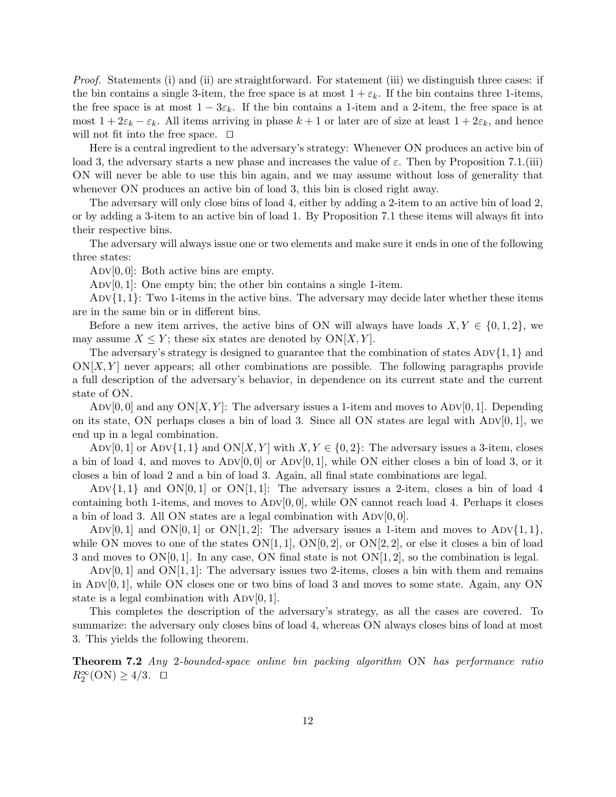*Proof.* Statements (i) and (ii) are straightforward. For statement (iii) we distinguish three cases: if the bin contains a single 3-item, the free space is at most  $1 + \varepsilon_k$ . If the bin contains three 1-items, the free space is at most  $1 - 3\varepsilon_k$ . If the bin contains a 1-item and a 2-item, the free space is at most  $1 + 2\varepsilon_k - \varepsilon_k$ . All items arriving in phase  $k + 1$  or later are of size at least  $1 + 2\varepsilon_k$ , and hence will not fit into the free space.  $\Box$ 

Here is a central ingredient to the adversary's strategy: Whenever ON produces an active bin of load 3, the adversary starts a new phase and increases the value of  $\varepsilon$ . Then by Proposition 7.1.(iii) ON will never be able to use this bin again, and we may assume without loss of generality that whenever ON produces an active bin of load 3, this bin is closed right away.

The adversary will only close bins of load 4, either by adding a 2-item to an active bin of load 2, or by adding a 3-item to an active bin of load 1. By Proposition 7.1 these items will always fit into their respective bins.

The adversary will always issue one or two elements and make sure it ends in one of the following three states:

ADV $[0, 0]$ : Both active bins are empty.

 $\text{Adv}[0, 1]:$  One empty bin; the other bin contains a single 1-item.

ADV $\{1, 1\}$ : Two 1-items in the active bins. The adversary may decide later whether these items are in the same bin or in different bins.

Before a new item arrives, the active bins of ON will always have loads  $X, Y \in \{0, 1, 2\}$ , we may assume  $X \leq Y$ ; these six states are denoted by  $ON[X, Y]$ .

The adversary's strategy is designed to guarantee that the combination of states  $\text{ADV1,1}$  and  $\mathrm{ON}[X, Y]$  never appears; all other combinations are possible. The following paragraphs provide a full description of the adversary's behavior, in dependence on its current state and the current state of ON.

 $\text{Adv}[0, 0]$  and any  $\text{ON}[X, Y]$ : The adversary issues a 1-item and moves to  $\text{Adv}[0, 1]$ . Depending on its state, ON perhaps closes a bin of load 3. Since all ON states are legal with  $\text{ADV}[0, 1]$ , we end up in a legal combination.

ADV[0, 1] or ADV{1, 1} and  $ON[X, Y]$  with  $X, Y \in \{0, 2\}$ : The adversary issues a 3-item, closes a bin of load 4, and moves to  $\text{ADV}[0, 0]$  or  $\text{ADV}[0, 1]$ , while ON either closes a bin of load 3, or it closes a bin of load 2 and a bin of load 3. Again, all final state combinations are legal.

ADV $\{1,1\}$  and  $ON[0,1]$  or  $ON[1,1]$ : The adversary issues a 2-item, closes a bin of load 4 containing both 1-items, and moves to  $\text{ADV}[0, 0]$ , while ON cannot reach load 4. Perhaps it closes a bin of load 3. All ON states are a legal combination with  $\text{ADV}[0, 0]$ .

ADV[0, 1] and ON[0, 1] or ON[1, 2]: The adversary issues a 1-item and moves to ADV $\{1, 1\}$ , while ON moves to one of the states  $ON[1, 1]$ ,  $ON[0, 2]$ , or  $ON[2, 2]$ , or else it closes a bin of load 3 and moves to  $ON[0, 1]$ . In any case, ON final state is not  $ON[1, 2]$ , so the combination is legal.

 $\text{Adv}[0, 1]$  and  $\text{ON}[1, 1]$ : The adversary issues two 2-items, closes a bin with them and remains in Adv $[0, 1]$ , while ON closes one or two bins of load 3 and moves to some state. Again, any ON state is a legal combination with  $\text{ADV}[0, 1]$ .

This completes the description of the adversary's strategy, as all the cases are covered. To summarize: the adversary only closes bins of load 4, whereas ON always closes bins of load at most 3. This yields the following theorem.

**Theorem 7.2** Any 2-bounded-space online bin packing algorithm ON has performance ratio  $R_2^{\infty}$ (ON)  $\geq 4/3$ .  $\Box$